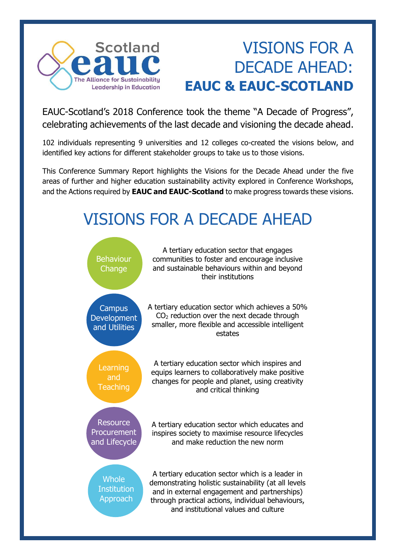

## VISIONS FOR A DECADE AHEAD: **EAUC & EAUC-SCOTLAND**

EAUC-Scotland's 2018 Conference took the theme "A Decade of Progress", celebrating achievements of the last decade and visioning the decade ahead.

102 individuals representing 9 universities and 12 colleges co-created the visions below, and identified key actions for different stakeholder groups to take us to those visions.

This Conference Summary Report highlights the Visions for the Decade Ahead under the five areas of further and higher education sustainability activity explored in Conference Workshops, and the Actions required by **EAUC and EAUC-Scotland** to make progress towards these visions.

## VISIONS FOR A DECADE AHEAD